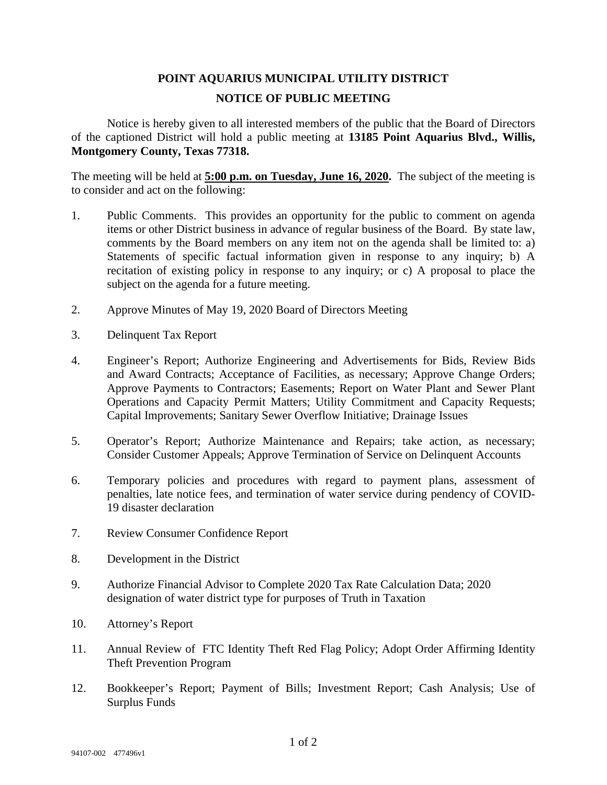## **POINT AQUARIUS MUNICIPAL UTILITY DISTRICT NOTICE OF PUBLIC MEETING**

Notice is hereby given to all interested members of the public that the Board of Directors of the captioned District will hold a public meeting at **13185 Point Aquarius Blvd., Willis, Montgomery County, Texas 77318.** 

The meeting will be held at **5:00 p.m. on Tuesday, June 16, 2020.** The subject of the meeting is to consider and act on the following:

- 1. Public Comments. This provides an opportunity for the public to comment on agenda items or other District business in advance of regular business of the Board. By state law, comments by the Board members on any item not on the agenda shall be limited to: a) Statements of specific factual information given in response to any inquiry; b) A recitation of existing policy in response to any inquiry; or c) A proposal to place the subject on the agenda for a future meeting.
- 2. Approve Minutes of May 19, 2020 Board of Directors Meeting
- 3. Delinquent Tax Report
- 4. Engineer's Report; Authorize Engineering and Advertisements for Bids, Review Bids and Award Contracts; Acceptance of Facilities, as necessary; Approve Change Orders; Approve Payments to Contractors; Easements; Report on Water Plant and Sewer Plant Operations and Capacity Permit Matters; Utility Commitment and Capacity Requests; Capital Improvements; Sanitary Sewer Overflow Initiative; Drainage Issues
- 5. Operator's Report; Authorize Maintenance and Repairs; take action, as necessary; Consider Customer Appeals; Approve Termination of Service on Delinquent Accounts
- 6. Temporary policies and procedures with regard to payment plans, assessment of penalties, late notice fees, and termination of water service during pendency of COVID-19 disaster declaration
- 7. Review Consumer Confidence Report
- 8. Development in the District
- 9. Authorize Financial Advisor to Complete 2020 Tax Rate Calculation Data; 2020 designation of water district type for purposes of Truth in Taxation
- 10. Attorney's Report
- 11. Annual Review of FTC Identity Theft Red Flag Policy; Adopt Order Affirming Identity Theft Prevention Program
- 12. Bookkeeper's Report; Payment of Bills; Investment Report; Cash Analysis; Use of Surplus Funds